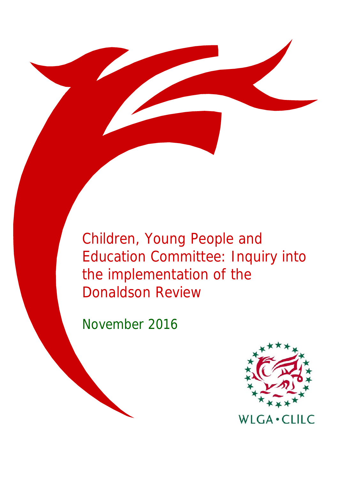Children, Young People and Education Committee: Inquiry into the implementation of the Donaldson Review

November 2016

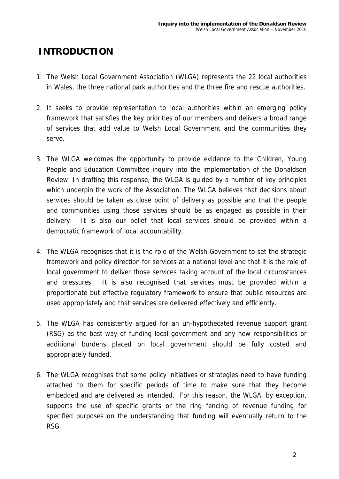## **INTRODUCTION**

- 1. The Welsh Local Government Association (WLGA) represents the 22 local authorities in Wales, the three national park authorities and the three fire and rescue authorities.
- 2. It seeks to provide representation to local authorities within an emerging policy framework that satisfies the key priorities of our members and delivers a broad range of services that add value to Welsh Local Government and the communities they serve.
- 3. The WLGA welcomes the opportunity to provide evidence to the Children, Young People and Education Committee inquiry into the implementation of the Donaldson Review. In drafting this response, the WLGA is guided by a number of key principles which underpin the work of the Association. The WLGA believes that decisions about services should be taken as close point of delivery as possible and that the people and communities using those services should be as engaged as possible in their delivery. It is also our belief that local services should be provided within a democratic framework of local accountability.
- 4. The WLGA recognises that it is the role of the Welsh Government to set the strategic framework and policy direction for services at a national level and that it is the role of local government to deliver those services taking account of the local circumstances and pressures. It is also recognised that services must be provided within a proportionate but effective regulatory framework to ensure that public resources are used appropriately and that services are delivered effectively and efficiently.
- 5. The WLGA has consistently argued for an un-hypothecated revenue support grant (RSG) as the best way of funding local government and any new responsibilities or additional burdens placed on local government should be fully costed and appropriately funded.
- 6. The WLGA recognises that some policy initiatives or strategies need to have funding attached to them for specific periods of time to make sure that they become embedded and are delivered as intended. For this reason, the WLGA, by exception, supports the use of specific grants or the ring fencing of revenue funding for specified purposes on the understanding that funding will eventually return to the RSG.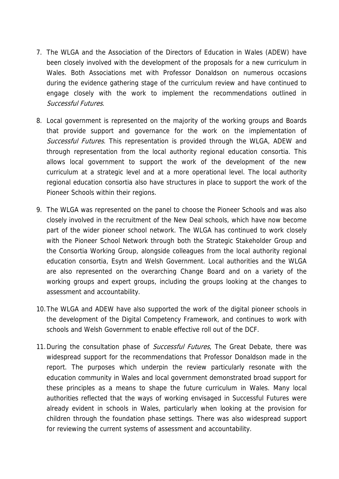- 7. The WLGA and the Association of the Directors of Education in Wales (ADEW) have been closely involved with the development of the proposals for a new curriculum in Wales. Both Associations met with Professor Donaldson on numerous occasions during the evidence gathering stage of the curriculum review and have continued to engage closely with the work to implement the recommendations outlined in Successful Futures.
- 8. Local government is represented on the majority of the working groups and Boards that provide support and governance for the work on the implementation of Successful Futures. This representation is provided through the WLGA, ADEW and through representation from the local authority regional education consortia. This allows local government to support the work of the development of the new curriculum at a strategic level and at a more operational level. The local authority regional education consortia also have structures in place to support the work of the Pioneer Schools within their regions.
- 9. The WLGA was represented on the panel to choose the Pioneer Schools and was also closely involved in the recruitment of the New Deal schools, which have now become part of the wider pioneer school network. The WLGA has continued to work closely with the Pioneer School Network through both the Strategic Stakeholder Group and the Consortia Working Group, alongside colleagues from the local authority regional education consortia, Esytn and Welsh Government. Local authorities and the WLGA are also represented on the overarching Change Board and on a variety of the working groups and expert groups, including the groups looking at the changes to assessment and accountability.
- 10.The WLGA and ADEW have also supported the work of the digital pioneer schools in the development of the Digital Competency Framework, and continues to work with schools and Welsh Government to enable effective roll out of the DCF.
- 11. During the consultation phase of Successful Futures, The Great Debate, there was widespread support for the recommendations that Professor Donaldson made in the report. The purposes which underpin the review particularly resonate with the education community in Wales and local government demonstrated broad support for these principles as a means to shape the future curriculum in Wales. Many local authorities reflected that the ways of working envisaged in Successful Futures were already evident in schools in Wales, particularly when looking at the provision for children through the foundation phase settings. There was also widespread support for reviewing the current systems of assessment and accountability.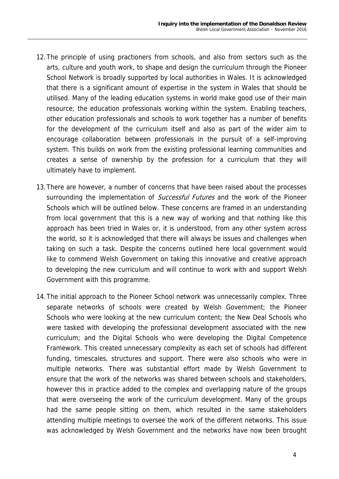- 12.The principle of using practioners from schools, and also from sectors such as the arts, culture and youth work, to shape and design the curriculum through the Pioneer School Network is broadly supported by local authorities in Wales. It is acknowledged that there is a significant amount of expertise in the system in Wales that should be utilised. Many of the leading education systems in world make good use of their main resource; the education professionals working within the system. Enabling teachers, other education professionals and schools to work together has a number of benefits for the development of the curriculum itself and also as part of the wider aim to encourage collaboration between professionals in the pursuit of a self-improving system. This builds on work from the existing professional learning communities and creates a sense of ownership by the profession for a curriculum that they will ultimately have to implement.
- 13.There are however, a number of concerns that have been raised about the processes surrounding the implementation of *Successful Futures* and the work of the Pioneer Schools which will be outlined below. These concerns are framed in an understanding from local government that this is a new way of working and that nothing like this approach has been tried in Wales or, it is understood, from any other system across the world, so it is acknowledged that there will always be issues and challenges when taking on such a task. Despite the concerns outlined here local government would like to commend Welsh Government on taking this innovative and creative approach to developing the new curriculum and will continue to work with and support Welsh Government with this programme.
- 14.The initial approach to the Pioneer School network was unnecessarily complex. Three separate networks of schools were created by Welsh Government; the Pioneer Schools who were looking at the new curriculum content; the New Deal Schools who were tasked with developing the professional development associated with the new curriculum; and the Digital Schools who were developing the Digital Competence Framework. This created unnecessary complexity as each set of schools had different funding, timescales, structures and support. There were also schools who were in multiple networks. There was substantial effort made by Welsh Government to ensure that the work of the networks was shared between schools and stakeholders, however this in practice added to the complex and overlapping nature of the groups that were overseeing the work of the curriculum development. Many of the groups had the same people sitting on them, which resulted in the same stakeholders attending multiple meetings to oversee the work of the different networks. This issue was acknowledged by Welsh Government and the networks have now been brought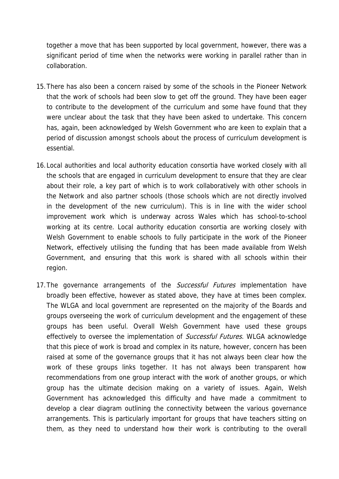together a move that has been supported by local government, however, there was a significant period of time when the networks were working in parallel rather than in collaboration.

- 15.There has also been a concern raised by some of the schools in the Pioneer Network that the work of schools had been slow to get off the ground. They have been eager to contribute to the development of the curriculum and some have found that they were unclear about the task that they have been asked to undertake. This concern has, again, been acknowledged by Welsh Government who are keen to explain that a period of discussion amongst schools about the process of curriculum development is essential.
- 16.Local authorities and local authority education consortia have worked closely with all the schools that are engaged in curriculum development to ensure that they are clear about their role, a key part of which is to work collaboratively with other schools in the Network and also partner schools (those schools which are not directly involved in the development of the new curriculum). This is in line with the wider school improvement work which is underway across Wales which has school-to-school working at its centre. Local authority education consortia are working closely with Welsh Government to enable schools to fully participate in the work of the Pioneer Network, effectively utilising the funding that has been made available from Welsh Government, and ensuring that this work is shared with all schools within their region.
- 17. The governance arrangements of the *Successful Futures* implementation have broadly been effective, however as stated above, they have at times been complex. The WLGA and local government are represented on the majority of the Boards and groups overseeing the work of curriculum development and the engagement of these groups has been useful. Overall Welsh Government have used these groups effectively to oversee the implementation of Successful Futures. WLGA acknowledge that this piece of work is broad and complex in its nature, however, concern has been raised at some of the governance groups that it has not always been clear how the work of these groups links together. It has not always been transparent how recommendations from one group interact with the work of another groups, or which group has the ultimate decision making on a variety of issues. Again, Welsh Government has acknowledged this difficulty and have made a commitment to develop a clear diagram outlining the connectivity between the various governance arrangements. This is particularly important for groups that have teachers sitting on them, as they need to understand how their work is contributing to the overall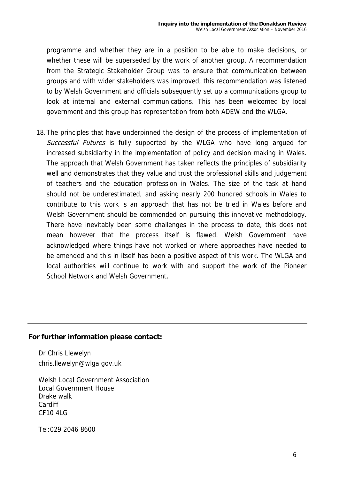programme and whether they are in a position to be able to make decisions, or whether these will be superseded by the work of another group. A recommendation from the Strategic Stakeholder Group was to ensure that communication between groups and with wider stakeholders was improved, this recommendation was listened to by Welsh Government and officials subsequently set up a communications group to look at internal and external communications. This has been welcomed by local government and this group has representation from both ADEW and the WLGA.

18.The principles that have underpinned the design of the process of implementation of Successful Futures is fully supported by the WLGA who have long argued for increased subsidiarity in the implementation of policy and decision making in Wales. The approach that Welsh Government has taken reflects the principles of subsidiarity well and demonstrates that they value and trust the professional skills and judgement of teachers and the education profession in Wales. The size of the task at hand should not be underestimated, and asking nearly 200 hundred schools in Wales to contribute to this work is an approach that has not be tried in Wales before and Welsh Government should be commended on pursuing this innovative methodology. There have inevitably been some challenges in the process to date, this does not mean however that the process itself is flawed. Welsh Government have acknowledged where things have not worked or where approaches have needed to be amended and this in itself has been a positive aspect of this work. The WLGA and local authorities will continue to work with and support the work of the Pioneer School Network and Welsh Government.

## **For further information please contact:**

Dr Chris Llewelyn chris.llewelyn@wlga.gov.uk

Welsh Local Government Association Local Government House Drake walk Cardiff CF10 4LG

Tel:029 2046 8600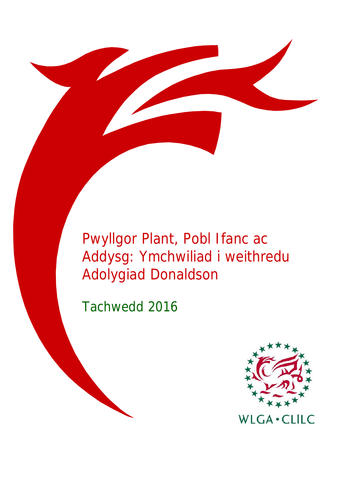Pwyllgor Plant, Pobl Ifanc ac Addysg: Ymchwiliad i weithredu Adolygiad Donaldson

Tachwedd 2016

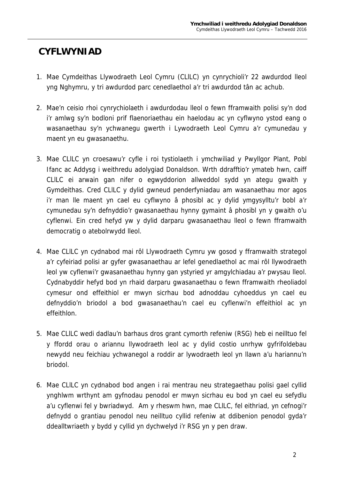## **CYFLWYNIAD**

- 1. Mae Cymdeithas Llywodraeth Leol Cymru (CLlLC) yn cynrychioli'r 22 awdurdod lleol yng Nghymru, y tri awdurdod parc cenedlaethol a'r tri awdurdod tân ac achub.
- 2. Mae'n ceisio rhoi cynrychiolaeth i awdurdodau lleol o fewn fframwaith polisi sy'n dod i'r amlwg sy'n bodloni prif flaenoriaethau ein haelodau ac yn cyflwyno ystod eang o wasanaethau sy'n ychwanegu gwerth i Lywodraeth Leol Cymru a'r cymunedau y maent yn eu gwasanaethu.
- 3. Mae CLlLC yn croesawu'r cyfle i roi tystiolaeth i ymchwiliad y Pwyllgor Plant, Pobl Ifanc ac Addysg i weithredu adolygiad Donaldson. Wrth ddrafftio'r ymateb hwn, caiff CLlLC ei arwain gan nifer o egwyddorion allweddol sydd yn ategu gwaith y Gymdeithas. Cred CLlLC y dylid gwneud penderfyniadau am wasanaethau mor agos i'r man lle maent yn cael eu cyflwyno â phosibl ac y dylid ymgysylltu'r bobl a'r cymunedau sy'n defnyddio'r gwasanaethau hynny gymaint â phosibl yn y gwaith o'u cyflenwi. Ein cred hefyd yw y dylid darparu gwasanaethau lleol o fewn fframwaith democratig o atebolrwydd lleol.
- 4. Mae CLlLC yn cydnabod mai rôl Llywodraeth Cymru yw gosod y fframwaith strategol a'r cyfeiriad polisi ar gyfer gwasanaethau ar lefel genedlaethol ac mai rôl llywodraeth leol yw cyflenwi'r gwasanaethau hynny gan ystyried yr amgylchiadau a'r pwysau lleol. Cydnabyddir hefyd bod yn rhaid darparu gwasanaethau o fewn fframwaith rheoliadol cymesur ond effeithiol er mwyn sicrhau bod adnoddau cyhoeddus yn cael eu defnyddio'n briodol a bod gwasanaethau'n cael eu cyflenwi'n effeithiol ac yn effeithlon.
- 5. Mae CLlLC wedi dadlau'n barhaus dros grant cymorth refeniw (RSG) heb ei neilltuo fel y ffordd orau o ariannu llywodraeth leol ac y dylid costio unrhyw gyfrifoldebau newydd neu feichiau ychwanegol a roddir ar lywodraeth leol yn llawn a'u hariannu'n briodol.
- 6. Mae CLlLC yn cydnabod bod angen i rai mentrau neu strategaethau polisi gael cyllid ynghlwm wrthynt am gyfnodau penodol er mwyn sicrhau eu bod yn cael eu sefydlu a'u cyflenwi fel y bwriadwyd. Am y rheswm hwn, mae CLlLC, fel eithriad, yn cefnogi'r defnydd o grantiau penodol neu neilltuo cyllid refeniw at ddibenion penodol gyda'r ddealltwriaeth y bydd y cyllid yn dychwelyd i'r RSG yn y pen draw.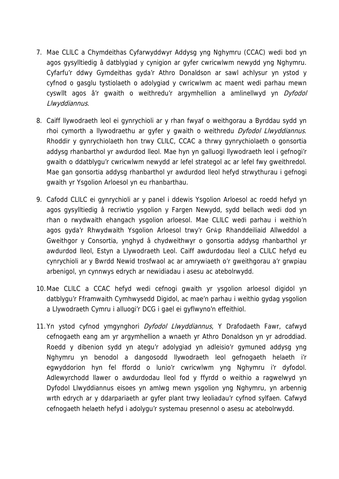- 7. Mae CLlLC a Chymdeithas Cyfarwyddwyr Addysg yng Nghymru (CCAC) wedi bod yn agos gysylltiedig â datblygiad y cynigion ar gyfer cwricwlwm newydd yng Nghymru. Cyfarfu'r ddwy Gymdeithas gyda'r Athro Donaldson ar sawl achlysur yn ystod y cyfnod o gasglu tystiolaeth o adolygiad y cwricwlwm ac maent wedi parhau mewn cyswllt agos â'r gwaith o weithredu'r argymhellion a amlinellwyd yn Dyfodol Llwyddiannus.
- 8. Caiff llywodraeth leol ei gynrychioli ar y rhan fwyaf o weithgorau a Byrddau sydd yn rhoi cymorth a llywodraethu ar gyfer y gwaith o weithredu Dyfodol Llwyddiannus. Rhoddir y gynrychiolaeth hon trwy CLlLC, CCAC a thrwy gynrychiolaeth o gonsortia addysg rhanbarthol yr awdurdod lleol. Mae hyn yn galluogi llywodraeth leol i gefnogi'r gwaith o ddatblygu'r cwricwlwm newydd ar lefel strategol ac ar lefel fwy gweithredol. Mae gan gonsortia addysg rhanbarthol yr awdurdod lleol hefyd strwythurau i gefnogi gwaith yr Ysgolion Arloesol yn eu rhanbarthau.
- 9. Cafodd CLlLC ei gynrychioli ar y panel i ddewis Ysgolion Arloesol ac roedd hefyd yn agos gysylltiedig â recriwtio ysgolion y Fargen Newydd, sydd bellach wedi dod yn rhan o rwydwaith ehangach ysgolion arloesol. Mae CLlLC wedi parhau i weithio'n agos gyda'r Rhwydwaith Ysgolion Arloesol trwy'r Grŵp Rhanddeiliaid Allweddol a Gweithgor y Consortia, ynghyd â chydweithwyr o gonsortia addysg rhanbarthol yr awdurdod lleol, Estyn a Llywodraeth Leol. Caiff awdurdodau lleol a CLlLC hefyd eu cynrychioli ar y Bwrdd Newid trosfwaol ac ar amrywiaeth o'r gweithgorau a'r grwpiau arbenigol, yn cynnwys edrych ar newidiadau i asesu ac atebolrwydd.
- 10.Mae CLlLC a CCAC hefyd wedi cefnogi gwaith yr ysgolion arloesol digidol yn datblygu'r Fframwaith Cymhwysedd Digidol, ac mae'n parhau i weithio gydag ysgolion a Llywodraeth Cymru i alluogi'r DCG i gael ei gyflwyno'n effeithiol.
- 11.Yn ystod cyfnod ymgynghori *Dyfodol Llwyddiannus*, Y Drafodaeth Fawr, cafwyd cefnogaeth eang am yr argymhellion a wnaeth yr Athro Donaldson yn yr adroddiad. Roedd y dibenion sydd yn ategu'r adolygiad yn adleisio'r gymuned addysg yng Nghymru yn benodol a dangosodd llywodraeth leol gefnogaeth helaeth i'r egwyddorion hyn fel ffordd o lunio'r cwricwlwm yng Nghymru i'r dyfodol. Adlewyrchodd llawer o awdurdodau lleol fod y ffyrdd o weithio a ragwelwyd yn Dyfodol Llwyddiannus eisoes yn amlwg mewn ysgolion yng Nghymru, yn arbennig wrth edrych ar y ddarpariaeth ar gyfer plant trwy leoliadau'r cyfnod sylfaen. Cafwyd cefnogaeth helaeth hefyd i adolygu'r systemau presennol o asesu ac atebolrwydd.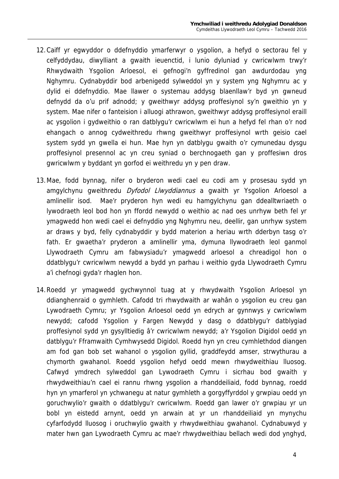- 12.Caiff yr egwyddor o ddefnyddio ymarferwyr o ysgolion, a hefyd o sectorau fel y celfyddydau, diwylliant a gwaith ieuenctid, i lunio dyluniad y cwricwlwm trwy'r Rhwydwaith Ysgolion Arloesol, ei gefnogi'n gyffredinol gan awdurdodau yng Nghymru. Cydnabyddir bod arbenigedd sylweddol yn y system yng Nghymru ac y dylid ei ddefnyddio. Mae llawer o systemau addysg blaenllaw'r byd yn gwneud defnydd da o'u prif adnodd; y gweithwyr addysg proffesiynol sy'n gweithio yn y system. Mae nifer o fanteision i alluogi athrawon, gweithwyr addysg proffesiynol eraill ac ysgolion i gydweithio o ran datblygu'r cwricwlwm ei hun a hefyd fel rhan o'r nod ehangach o annog cydweithredu rhwng gweithwyr proffesiynol wrth geisio cael system sydd yn gwella ei hun. Mae hyn yn datblygu gwaith o'r cymunedau dysgu proffesiynol presennol ac yn creu syniad o berchnogaeth gan y proffesiwn dros gwricwlwm y byddant yn gorfod ei weithredu yn y pen draw.
- 13.Mae, fodd bynnag, nifer o bryderon wedi cael eu codi am y prosesau sydd yn amgylchynu gweithredu *Dyfodol Llwyddiannus* a gwaith yr Ysgolion Arloesol a amlinellir isod. Mae'r pryderon hyn wedi eu hamgylchynu gan ddealltwriaeth o lywodraeth leol bod hon yn ffordd newydd o weithio ac nad oes unrhyw beth fel yr ymagwedd hon wedi cael ei defnyddio yng Nghymru neu, deellir, gan unrhyw system ar draws y byd, felly cydnabyddir y bydd materion a heriau wrth dderbyn tasg o'r fath. Er gwaetha'r pryderon a amlinellir yma, dymuna llywodraeth leol ganmol Llywodraeth Cymru am fabwysiadu'r ymagwedd arloesol a chreadigol hon o ddatblygu'r cwricwlwm newydd a bydd yn parhau i weithio gyda Llywodraeth Cymru a'i chefnogi gyda'r rhaglen hon.
- 14.Roedd yr ymagwedd gychwynnol tuag at y rhwydwaith Ysgolion Arloesol yn ddianghenraid o gymhleth. Cafodd tri rhwydwaith ar wahân o ysgolion eu creu gan Lywodraeth Cymru; yr Ysgolion Arloesol oedd yn edrych ar gynnwys y cwricwlwm newydd; cafodd Ysgolion y Fargen Newydd y dasg o ddatblygu'r datblygiad proffesiynol sydd yn gysylltiedig â'r cwricwlwm newydd; a'r Ysgolion Digidol oedd yn datblygu'r Fframwaith Cymhwysedd Digidol. Roedd hyn yn creu cymhlethdod diangen am fod gan bob set wahanol o ysgolion gyllid, graddfeydd amser, strwythurau a chymorth gwahanol. Roedd ysgolion hefyd oedd mewn rhwydweithiau lluosog. Cafwyd ymdrech sylweddol gan Lywodraeth Cymru i sicrhau bod gwaith y rhwydweithiau'n cael ei rannu rhwng ysgolion a rhanddeiliaid, fodd bynnag, roedd hyn yn ymarferol yn ychwanegu at natur gymhleth a gorgyffyrddol y grwpiau oedd yn goruchwylio'r gwaith o ddatblygu'r cwricwlwm. Roedd gan lawer o'r grwpiau yr un bobl yn eistedd arnynt, oedd yn arwain at yr un rhanddeiliaid yn mynychu cyfarfodydd lluosog i oruchwylio gwaith y rhwydweithiau gwahanol. Cydnabuwyd y mater hwn gan Lywodraeth Cymru ac mae'r rhwydweithiau bellach wedi dod ynghyd,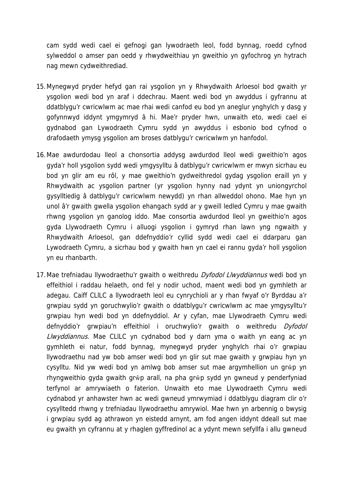cam sydd wedi cael ei gefnogi gan lywodraeth leol, fodd bynnag, roedd cyfnod sylweddol o amser pan oedd y rhwydweithiau yn gweithio yn gyfochrog yn hytrach nag mewn cydweithrediad.

- 15.Mynegwyd pryder hefyd gan rai ysgolion yn y Rhwydwaith Arloesol bod gwaith yr ysgolion wedi bod yn araf i ddechrau. Maent wedi bod yn awyddus i gyfrannu at ddatblygu'r cwricwlwm ac mae rhai wedi canfod eu bod yn aneglur ynghylch y dasg y gofynnwyd iddynt ymgymryd â hi. Mae'r pryder hwn, unwaith eto, wedi cael ei gydnabod gan Lywodraeth Cymru sydd yn awyddus i esbonio bod cyfnod o drafodaeth ymysg ysgolion am broses datblygu'r cwricwlwm yn hanfodol.
- 16.Mae awdurdodau lleol a chonsortia addysg awdurdod lleol wedi gweithio'n agos gyda'r holl ysgolion sydd wedi ymgysylltu â datblygu'r cwricwlwm er mwyn sicrhau eu bod yn glir am eu rôl, y mae gweithio'n gydweithredol gydag ysgolion eraill yn y Rhwydwaith ac ysgolion partner (yr ysgolion hynny nad ydynt yn uniongyrchol gysylltiedig â datblygu'r cwricwlwm newydd) yn rhan allweddol ohono. Mae hyn yn unol â'r gwaith gwella ysgolion ehangach sydd ar y gweill ledled Cymru y mae gwaith rhwng ysgolion yn ganolog iddo. Mae consortia awdurdod lleol yn gweithio'n agos gyda Llywodraeth Cymru i alluogi ysgolion i gymryd rhan lawn yng ngwaith y Rhwydwaith Arloesol, gan ddefnyddio'r cyllid sydd wedi cael ei ddarparu gan Lywodraeth Cymru, a sicrhau bod y gwaith hwn yn cael ei rannu gyda'r holl ysgolion yn eu rhanbarth.
- 17. Mae trefniadau llywodraethu'r gwaith o weithredu Dyfodol Llwyddiannus wedi bod yn effeithiol i raddau helaeth, ond fel y nodir uchod, maent wedi bod yn gymhleth ar adegau. Caiff CLlLC a llywodraeth leol eu cynrychioli ar y rhan fwyaf o'r Byrddau a'r grwpiau sydd yn goruchwylio'r gwaith o ddatblygu'r cwricwlwm ac mae ymgysylltu'r grwpiau hyn wedi bod yn ddefnyddiol. Ar y cyfan, mae Llywodraeth Cymru wedi defnyddio'r grwpiau'n effeithiol i oruchwylio'r gwaith o weithredu Dyfodol Llwyddiannus. Mae CLILC yn cydnabod bod y darn yma o waith yn eang ac yn gymhleth ei natur, fodd bynnag, mynegwyd pryder ynghylch rhai o'r grwpiau llywodraethu nad yw bob amser wedi bod yn glir sut mae gwaith y grwpiau hyn yn cysylltu. Nid yw wedi bod yn amlwg bob amser sut mae argymhellion un grŵp yn rhyngweithio gyda gwaith grŵp arall, na pha grŵp sydd yn gwneud y penderfyniad terfynol ar amrywiaeth o faterion. Unwaith eto mae Llywodraeth Cymru wedi cydnabod yr anhawster hwn ac wedi gwneud ymrwymiad i ddatblygu diagram clir o'r cysylltedd rhwng y trefniadau llywodraethu amrywiol. Mae hwn yn arbennig o bwysig i grwpiau sydd ag athrawon yn eistedd arnynt, am fod angen iddynt ddeall sut mae eu gwaith yn cyfrannu at y rhaglen gyffredinol ac a ydynt mewn sefyllfa i allu gwneud